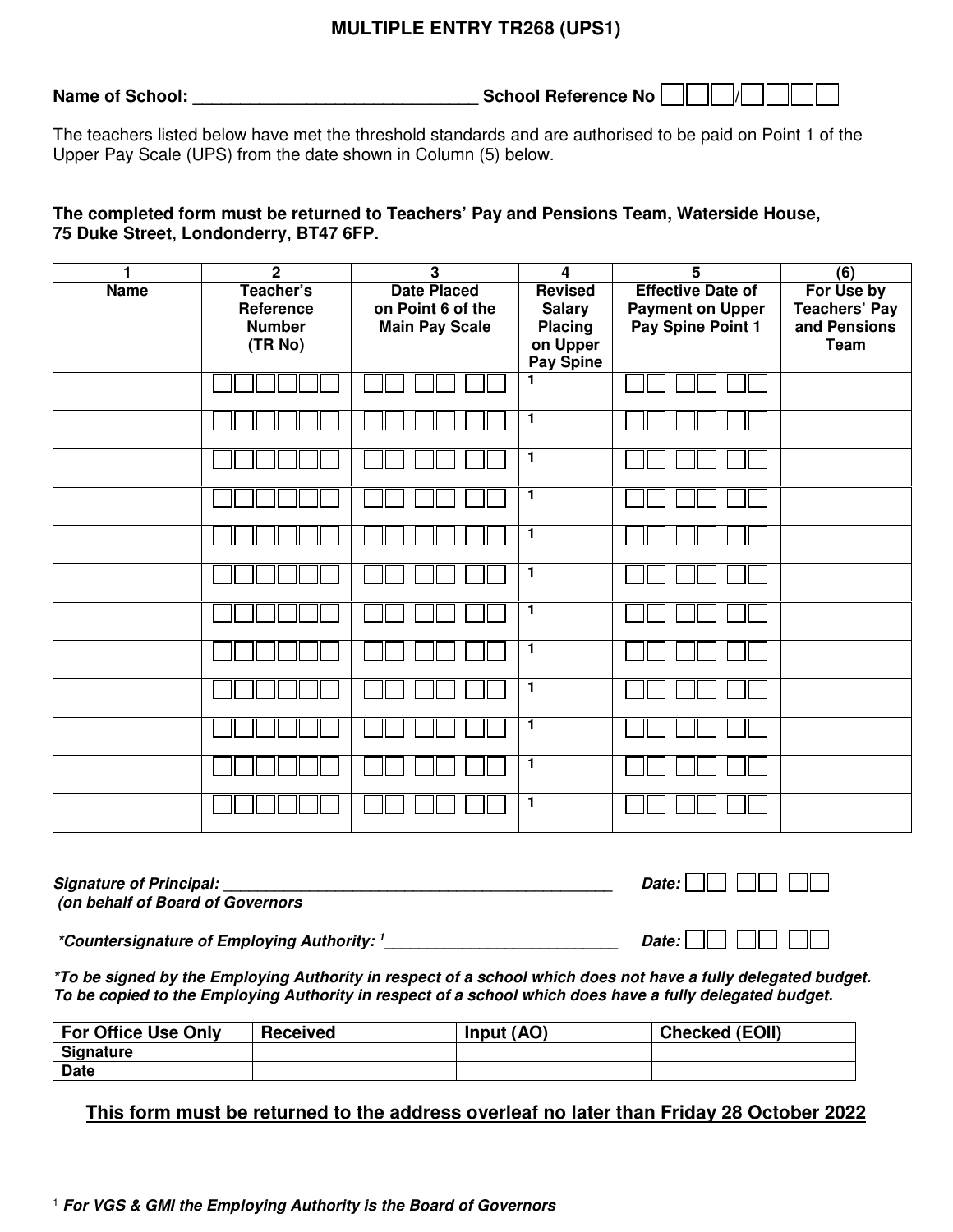## **MULTIPLE ENTRY TR268 (UPS1)**

**Name of School: \_\_\_\_\_\_\_\_\_\_\_\_\_\_\_\_\_\_\_\_\_\_\_\_\_\_\_\_\_\_ School Reference No /**

The teachers listed below have met the threshold standards and are authorised to be paid on Point 1 of the Upper Pay Scale (UPS) from the date shown in Column (5) below.

## **The completed form must be returned to Teachers' Pay and Pensions Team, Waterside House, 75 Duke Street, Londonderry, BT47 6FP.**

| 1           | $\overline{2}$                                     | $\overline{\mathbf{3}}$                                          | $\overline{4}$                                                                    | $\overline{5}$                                                           | $\overline{(6)}$                                                  |
|-------------|----------------------------------------------------|------------------------------------------------------------------|-----------------------------------------------------------------------------------|--------------------------------------------------------------------------|-------------------------------------------------------------------|
| <b>Name</b> | Teacher's<br>Reference<br><b>Number</b><br>(TR No) | <b>Date Placed</b><br>on Point 6 of the<br><b>Main Pay Scale</b> | <b>Revised</b><br><b>Salary</b><br><b>Placing</b><br>on Upper<br><b>Pay Spine</b> | <b>Effective Date of</b><br><b>Payment on Upper</b><br>Pay Spine Point 1 | For Use by<br><b>Teachers' Pay</b><br>and Pensions<br><b>Team</b> |
|             |                                                    |                                                                  | 1                                                                                 |                                                                          |                                                                   |
|             |                                                    |                                                                  | $\overline{1}$                                                                    |                                                                          |                                                                   |
|             |                                                    |                                                                  | $\mathbf{1}$                                                                      |                                                                          |                                                                   |
|             |                                                    |                                                                  | $\overline{1}$                                                                    |                                                                          |                                                                   |
|             |                                                    |                                                                  | $\mathbf{1}$                                                                      |                                                                          |                                                                   |
|             |                                                    |                                                                  | $\overline{1}$                                                                    |                                                                          |                                                                   |
|             |                                                    |                                                                  | $\mathbf{1}$                                                                      |                                                                          |                                                                   |
|             |                                                    |                                                                  | $\overline{1}$                                                                    |                                                                          |                                                                   |
|             |                                                    |                                                                  | 1                                                                                 |                                                                          |                                                                   |
|             |                                                    |                                                                  | 1                                                                                 |                                                                          |                                                                   |
|             |                                                    |                                                                  | 1                                                                                 |                                                                          |                                                                   |
|             |                                                    |                                                                  | 1                                                                                 |                                                                          |                                                                   |

**Signature of Principal:**  $\blacksquare$  **(on behalf of Board of Governors** 

 **\*Countersignature of Employing Authority: <sup>1</sup>**\_\_\_\_\_\_\_\_\_\_\_\_\_\_\_\_\_\_\_\_\_\_\_\_\_\_\_ **Date:** 

**\*To be signed by the Employing Authority in respect of a school which does not have a fully delegated budget. To be copied to the Employing Authority in respect of a school which does have a fully delegated budget.** 

| <b>For Office Use Only</b> | <b>Received</b> | Input (AO) | <b>Checked (EOII)</b> |
|----------------------------|-----------------|------------|-----------------------|
| <b>Signature</b>           |                 |            |                       |
| <b>Date</b>                |                 |            |                       |

**This form must be returned to the address overleaf no later than Friday 28 October 2022** 

 $\overline{a}$ <sup>1</sup> **For VGS & GMI the Employing Authority is the Board of Governors**